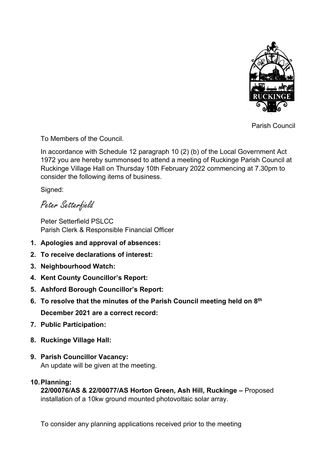

Parish Council

To Members of the Council.

In accordance with Schedule 12 paragraph 10 (2) (b) of the Local Government Act 1972 you are hereby summonsed to attend a meeting of Ruckinge Parish Council at Ruckinge Village Hall on Thursday 10th February 2022 commencing at 7.30pm to consider the following items of business.

Signed:

Peter Setterfield

Peter Setterfield PSLCC Parish Clerk & Responsible Financial Officer

- **1. Apologies and approval of absences:**
- **2. To receive declarations of interest:**
- **3. Neighbourhood Watch:**
- **4. Kent County Councillor's Report:**
- **5. Ashford Borough Councillor's Report:**
- **6. To resolve that the minutes of the Parish Council meeting held on 8 th December 2021 are a correct record:**
- **7. Public Participation:**
- **8. Ruckinge Village Hall:**
- **9. Parish Councillor Vacancy:** An update will be given at the meeting.

# **10.Planning:**

**22/00076/AS & 22/00077/AS Horton Green, Ash Hill, Ruckinge –** Proposed installation of a 10kw ground mounted photovoltaic solar array.

To consider any planning applications received prior to the meeting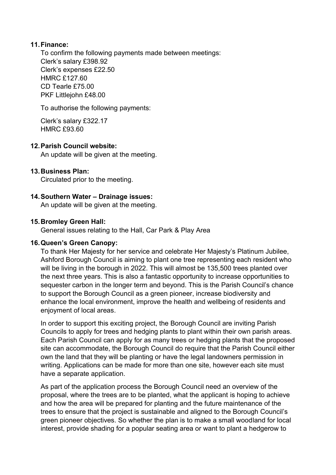## **11.Finance:**

To confirm the following payments made between meetings: Clerk's salary £398.92 Clerk's expenses £22.50 HMRC £127.60 CD Tearle £75.00 PKF Littlejohn £48.00

To authorise the following payments:

Clerk's salary £322.17 HMRC £93.60

## **12.Parish Council website:**

An update will be given at the meeting.

## **13.Business Plan:**

Circulated prior to the meeting.

## **14.Southern Water – Drainage issues:**

An update will be given at the meeting.

#### **15.Bromley Green Hall:**

General issues relating to the Hall, Car Park & Play Area

#### **16.Queen's Green Canopy:**

To thank Her Majesty for her service and celebrate Her Majesty's Platinum Jubilee, Ashford Borough Council is aiming to plant one tree representing each resident who will be living in the borough in 2022. This will almost be 135,500 trees planted over the next three years. This is also a fantastic opportunity to increase opportunities to sequester carbon in the longer term and beyond. This is the Parish Council's chance to support the Borough Council as a green pioneer, increase biodiversity and enhance the local environment, improve the health and wellbeing of residents and enjoyment of local areas.

In order to support this exciting project, the Borough Council are inviting Parish Councils to apply for trees and hedging plants to plant within their own parish areas. Each Parish Council can apply for as many trees or hedging plants that the proposed site can accommodate, the Borough Council do require that the Parish Council either own the land that they will be planting or have the legal landowners permission in writing. Applications can be made for more than one site, however each site must have a separate application.

As part of the application process the Borough Council need an overview of the proposal, where the trees are to be planted, what the applicant is hoping to achieve and how the area will be prepared for planting and the future maintenance of the trees to ensure that the project is sustainable and aligned to the Borough Council's green pioneer objectives. So whether the plan is to make a small woodland for local interest, provide shading for a popular seating area or want to plant a hedgerow to